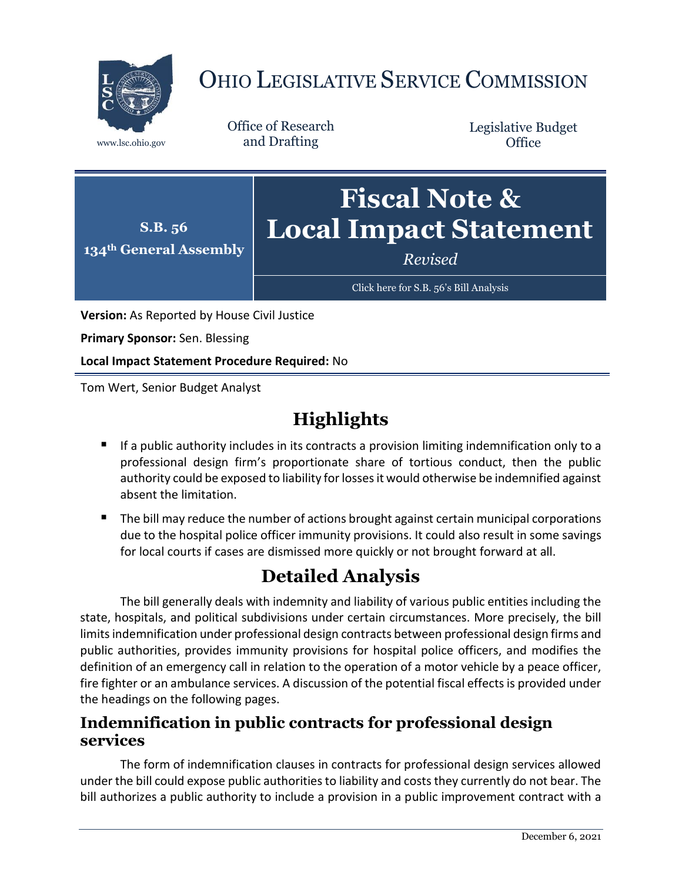

# OHIO LEGISLATIVE SERVICE COMMISSION

Office of Research www.lsc.ohio.gov and Drafting

Legislative Budget **Office** 



**Version:** As Reported by House Civil Justice

**Primary Sponsor:** Sen. Blessing

**Local Impact Statement Procedure Required:** No

Tom Wert, Senior Budget Analyst

## **Highlights**

- $\blacksquare$  If a public authority includes in its contracts a provision limiting indemnification only to a professional design firm's proportionate share of tortious conduct, then the public authority could be exposed to liability for losses it would otherwise be indemnified against absent the limitation.
- The bill may reduce the number of actions brought against certain municipal corporations due to the hospital police officer immunity provisions. It could also result in some savings for local courts if cases are dismissed more quickly or not brought forward at all.

### **Detailed Analysis**

The bill generally deals with indemnity and liability of various public entities including the state, hospitals, and political subdivisions under certain circumstances. More precisely, the bill limits indemnification under professional design contracts between professional design firms and public authorities, provides immunity provisions for hospital police officers, and modifies the definition of an emergency call in relation to the operation of a motor vehicle by a peace officer, fire fighter or an ambulance services. A discussion of the potential fiscal effects is provided under the headings on the following pages.

#### **Indemnification in public contracts for professional design services**

The form of indemnification clauses in contracts for professional design services allowed under the bill could expose public authorities to liability and costs they currently do not bear. The bill authorizes a public authority to include a provision in a public improvement contract with a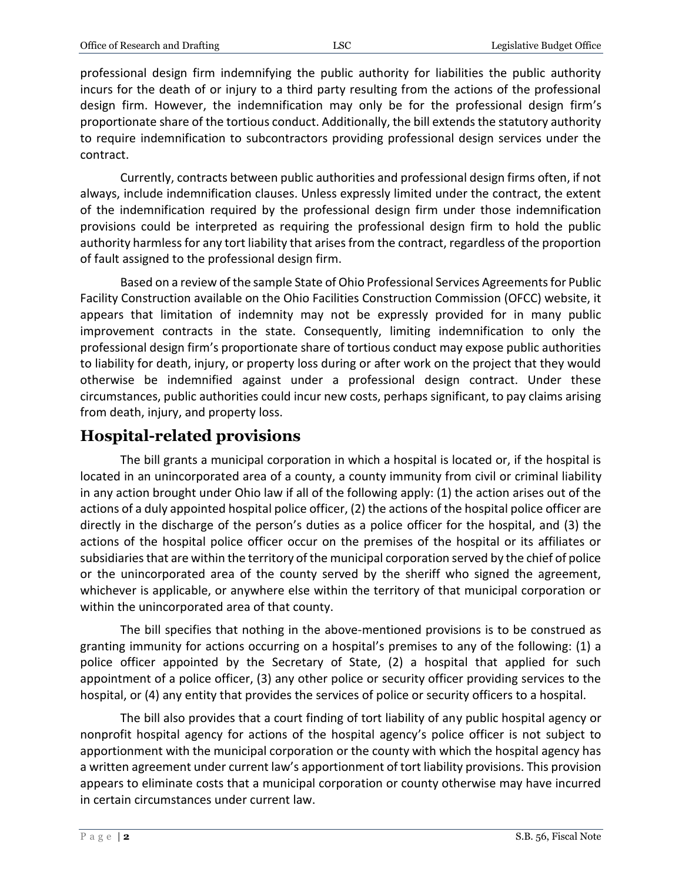professional design firm indemnifying the public authority for liabilities the public authority incurs for the death of or injury to a third party resulting from the actions of the professional design firm. However, the indemnification may only be for the professional design firm's proportionate share of the tortious conduct. Additionally, the bill extends the statutory authority to require indemnification to subcontractors providing professional design services under the contract.

Currently, contracts between public authorities and professional design firms often, if not always, include indemnification clauses. Unless expressly limited under the contract, the extent of the indemnification required by the professional design firm under those indemnification provisions could be interpreted as requiring the professional design firm to hold the public authority harmless for any tort liability that arises from the contract, regardless of the proportion of fault assigned to the professional design firm.

Based on a review of the sample State of Ohio Professional Services Agreements for Public Facility Construction available on the Ohio Facilities Construction Commission (OFCC) website, it appears that limitation of indemnity may not be expressly provided for in many public improvement contracts in the state. Consequently, limiting indemnification to only the professional design firm's proportionate share of tortious conduct may expose public authorities to liability for death, injury, or property loss during or after work on the project that they would otherwise be indemnified against under a professional design contract. Under these circumstances, public authorities could incur new costs, perhaps significant, to pay claims arising from death, injury, and property loss.

#### **Hospital-related provisions**

The bill grants a municipal corporation in which a hospital is located or, if the hospital is located in an unincorporated area of a county, a county immunity from civil or criminal liability in any action brought under Ohio law if all of the following apply: (1) the action arises out of the actions of a duly appointed hospital police officer, (2) the actions of the hospital police officer are directly in the discharge of the person's duties as a police officer for the hospital, and (3) the actions of the hospital police officer occur on the premises of the hospital or its affiliates or subsidiaries that are within the territory of the municipal corporation served by the chief of police or the unincorporated area of the county served by the sheriff who signed the agreement, whichever is applicable, or anywhere else within the territory of that municipal corporation or within the unincorporated area of that county.

The bill specifies that nothing in the above-mentioned provisions is to be construed as granting immunity for actions occurring on a hospital's premises to any of the following: (1) a police officer appointed by the Secretary of State, (2) a hospital that applied for such appointment of a police officer, (3) any other police or security officer providing services to the hospital, or (4) any entity that provides the services of police or security officers to a hospital.

The bill also provides that a court finding of tort liability of any public hospital agency or nonprofit hospital agency for actions of the hospital agency's police officer is not subject to apportionment with the municipal corporation or the county with which the hospital agency has a written agreement under current law's apportionment of tort liability provisions. This provision appears to eliminate costs that a municipal corporation or county otherwise may have incurred in certain circumstances under current law.